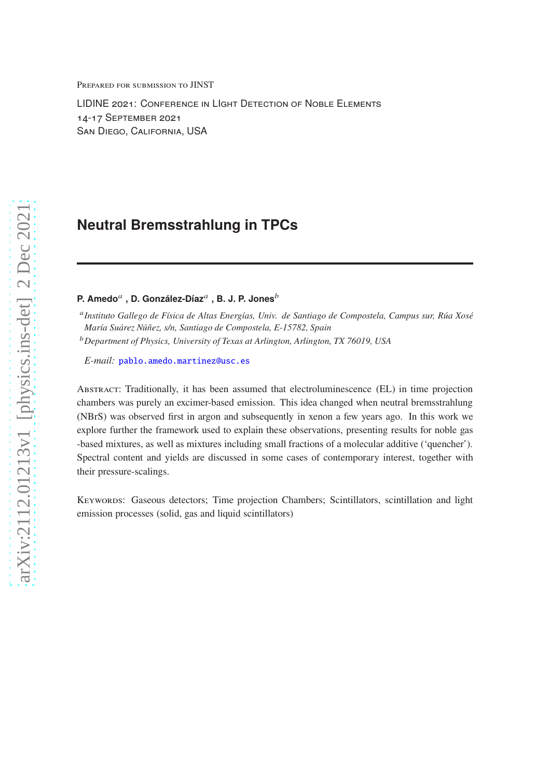Prepared for submission to JINST

LIDINE 2021: Conference in LIght Detection of Noble Elements 14-17 September 2021 San Diego, California, USA

# **Neutral Bremsstrahlung in TPCs**

# **P. Amedo**<sup>𝑎</sup> **, D. González-Díaz**<sup>𝑎</sup> **, B. J. P. Jones**<sup>𝑏</sup>

<sup>a</sup> Instituto Gallego de Física de Altas Energías, Univ. de Santiago de Compostela, Campus sur, Rúa Xosé *María Suárez Núñez, s/n, Santiago de Compostela, E-15782, Spain* <sup>𝑏</sup>*Department of Physics, University of Texas at Arlington, Arlington, TX 76019, USA*

*E-mail:* [pablo.amedo.martinez@usc.es](mailto:pablo.amedo.martinez@usc.es)

ABSTRACT: Traditionally, it has been assumed that electroluminescence (EL) in time projection chambers was purely an excimer-based emission. This idea changed when neutral bremsstrahlung (NBrS) was observed first in argon and subsequently in xenon a few years ago. In this work we explore further the framework used to explain these observations, presenting results for noble gas -based mixtures, as well as mixtures including small fractions of a molecular additive ('quencher'). Spectral content and yields are discussed in some cases of contemporary interest, together with their pressure-scalings.

Keywords: Gaseous detectors; Time projection Chambers; Scintillators, scintillation and light emission processes (solid, gas and liquid scintillators)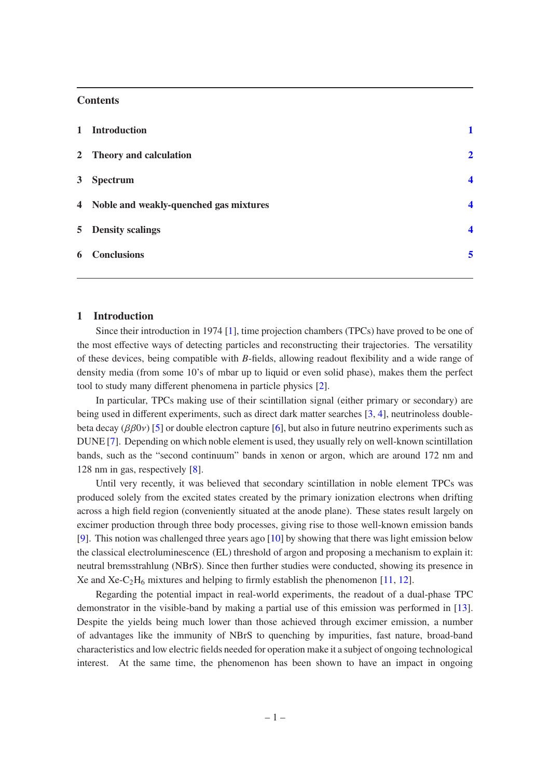## **Contents**

|                | 1 Introduction                           |                         |
|----------------|------------------------------------------|-------------------------|
|                | 2 Theory and calculation                 | $\overline{2}$          |
| 3 <sup>1</sup> | <b>Spectrum</b>                          | $\overline{\mathbf{4}}$ |
|                | 4 Noble and weakly-quenched gas mixtures | $\boldsymbol{4}$        |
|                | 5 Density scalings                       | $\overline{\mathbf{4}}$ |
| 6              | <b>Conclusions</b>                       | 5                       |
|                |                                          |                         |

#### <span id="page-1-0"></span>**1 Introduction**

Since their introduction in 1974 [\[1](#page-6-0)], time projection chambers (TPCs) have proved to be one of the most effective ways of detecting particles and reconstructing their trajectories. The versatility of these devices, being compatible with  $B$ -fields, allowing readout flexibility and a wide range of density media (from some 10's of mbar up to liquid or even solid phase), makes them the perfect tool to study many different phenomena in particle physics [\[2\]](#page-6-1).

In particular, TPCs making use of their scintillation signal (either primary or secondary) are being used in different experiments, such as direct dark matter searches [\[3](#page-6-2), [4](#page-6-3)], neutrinoless doublebeta decay ( $\beta\beta 0y$ ) [\[5](#page-6-4)] or double electron capture [\[6](#page-6-5)], but also in future neutrino experiments such as DUNE [\[7\]](#page-6-6). Depending on which noble element is used, they usually rely on well-known scintillation bands, such as the "second continuum" bands in xenon or argon, which are around 172 nm and 128 nm in gas, respectively [\[8\]](#page-6-7).

Until very recently, it was believed that secondary scintillation in noble element TPCs was produced solely from the excited states created by the primary ionization electrons when drifting across a high field region (conveniently situated at the anode plane). These states result largely on excimer production through three body processes, giving rise to those well-known emission bands [\[9](#page-6-8)]. This notion was challenged three years ago [\[10](#page-6-9)] by showing that there was light emission below the classical electroluminescence (EL) threshold of argon and proposing a mechanism to explain it: neutral bremsstrahlung (NBrS). Since then further studies were conducted, showing its presence in Xe and Xe-C<sub>2</sub>H<sub>6</sub> mixtures and helping to firmly establish the phenomenon [\[11,](#page-6-10) [12\]](#page-6-11).

Regarding the potential impact in real-world experiments, the readout of a dual-phase TPC demonstrator in the visible-band by making a partial use of this emission was performed in [\[13](#page-6-12)]. Despite the yields being much lower than those achieved through excimer emission, a number of advantages like the immunity of NBrS to quenching by impurities, fast nature, broad-band characteristics and low electric fields needed for operation make it a subject of ongoing technological interest. At the same time, the phenomenon has been shown to have an impact in ongoing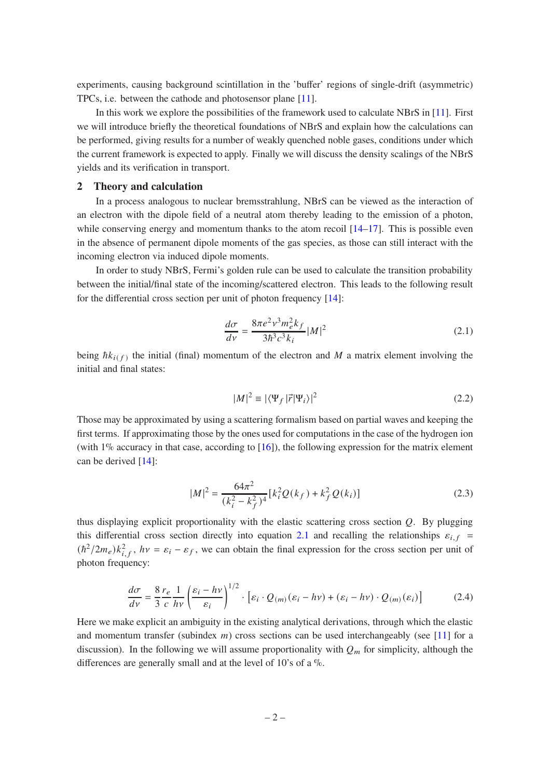experiments, causing background scintillation in the 'buffer' regions of single-drift (asymmetric) TPCs, i.e. between the cathode and photosensor plane [\[11](#page-6-10)].

In this work we explore the possibilities of the framework used to calculate NBrS in [\[11](#page-6-10)]. First we will introduce briefly the theoretical foundations of NBrS and explain how the calculations can be performed, giving results for a number of weakly quenched noble gases, conditions under which the current framework is expected to apply. Finally we will discuss the density scalings of the NBrS yields and its verification in transport.

## <span id="page-2-0"></span>**2 Theory and calculation**

In a process analogous to nuclear bremsstrahlung, NBrS can be viewed as the interaction of an electron with the dipole field of a neutral atom thereby leading to the emission of a photon, while conserving energy and momentum thanks to the atom recoil [\[14](#page-6-13)[–17](#page-6-14)]. This is possible even in the absence of permanent dipole moments of the gas species, as those can still interact with the incoming electron via induced dipole moments.

In order to study NBrS, Fermi's golden rule can be used to calculate the transition probability between the initial/final state of the incoming/scattered electron. This leads to the following result for the differential cross section per unit of photon frequency [\[14\]](#page-6-13):

<span id="page-2-1"></span>
$$
\frac{d\sigma}{dv} = \frac{8\pi e^2 v^3 m_e^2 k_f}{3\hbar^3 c^3 k_i} |M|^2
$$
\n(2.1)

being  $\hbar k_{i(f)}$  the initial (final) momentum of the electron and M a matrix element involving the initial and final states:

$$
|M|^2 \equiv |\langle \Psi_f | \vec{r} | \Psi_i \rangle|^2 \tag{2.2}
$$

Those may be approximated by using a scattering formalism based on partial waves and keeping the first terms. If approximating those by the ones used for computations in the case of the hydrogen ion (with 1% accuracy in that case, according to [\[16](#page-6-15)]), the following expression for the matrix element can be derived [\[14](#page-6-13)]:

$$
|M|^2 = \frac{64\pi^2}{(k_i^2 - k_f^2)^4} [k_i^2 Q(k_f) + k_f^2 Q(k_i)]
$$
 (2.3)

thus displaying explicit proportionality with the elastic scattering cross section  $Q$ . By plugging this differential cross section directly into equation [2.1](#page-2-1) and recalling the relationships  $\varepsilon_{i,f}$  =  $(\hbar^2/2m_e)k_{i,f}^2$ ,  $h\nu = \varepsilon_i - \varepsilon_f$ , we can obtain the final expression for the cross section per unit of photon frequency:

$$
\frac{d\sigma}{dv} = \frac{8 r_e}{3 c} \frac{1}{h\nu} \left( \frac{\varepsilon_i - h\nu}{\varepsilon_i} \right)^{1/2} \cdot \left[ \varepsilon_i \cdot Q_{(m)}(\varepsilon_i - h\nu) + (\varepsilon_i - h\nu) \cdot Q_{(m)}(\varepsilon_i) \right]
$$
(2.4)

Here we make explicit an ambiguity in the existing analytical derivations, through which the elastic and momentum transfer (subindex  $m$ ) cross sections can be used interchangeably (see [\[11\]](#page-6-10) for a discussion). In the following we will assume proportionality with  $Q_m$  for simplicity, although the differences are generally small and at the level of 10's of a %.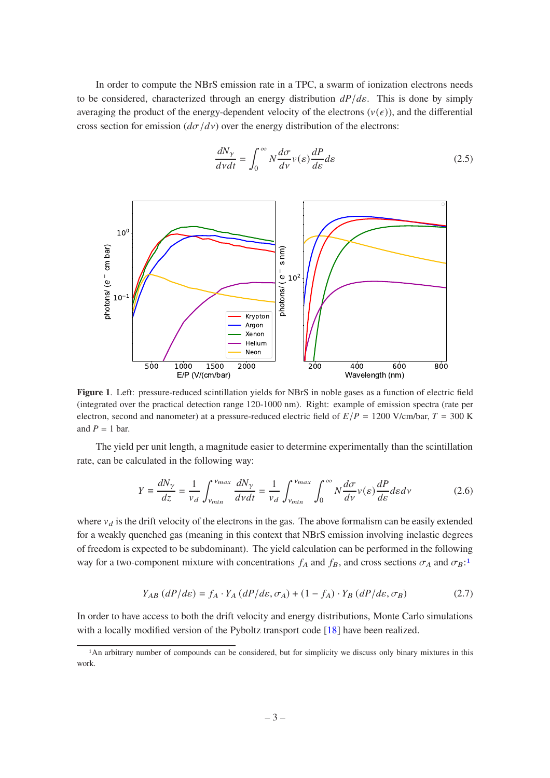In order to compute the NBrS emission rate in a TPC, a swarm of ionization electrons needs to be considered, characterized through an energy distribution  $dP/d\varepsilon$ . This is done by simply averaging the product of the energy-dependent velocity of the electrons ( $v(\epsilon)$ ), and the differential cross section for emission  $(d\sigma/d\nu)$  over the energy distribution of the electrons:

\n
$$
10^{\circ}
$$
\n

\n\n $\vec{E}$ \n

\n\n $\vec{E}$ \n

\n\n $\vec{E}$ \n

\n\n $\vec{E}$ \n

\n\n $\vec{E}$ \n

\n\n $\vec{E}$ \n

\n\n $\vec{E}$ \n

\n\n $\vec{E}$ \n

\n\n $\vec{E}$ \n

\n\n $\vec{E}$ \n

\n\n $\vec{E}$ \n

\n\n $\vec{E}$ \n

\n\n $\vec{E}$ \n

\n\n $\vec{E}$ \n

\n\n $\vec{E}$ \n

\n\n $\vec{E}$ \n

\n\n $\vec{E}$ \n

\n\n $\vec{E}$ \n

\n\n $\vec{E}$ \n

\n\n $\vec{E}$ \n

\n\n $\vec{E}$ \n

\n\n $\vec{E}$ \n

\n\n $\vec{E}$ \n

\n\n $\vec{E}$ \n

\n\n $\vec{E}$ \n

\n\n $\vec{E}$ \n

\n\n $\vec{E}$ \n

\n\n $\vec{E}$ \n

\n\n $\vec{E}$ \n

\n\n $\vec{E}$ \n

\n\n $\vec{E}$ \n

\n\n $\vec{E}$ \n

\n\n $\vec{E}$ \n

\n\n $\vec{E}$ \n

\n\n $\vec{E}$ \n

\n\n $\vec{E}$ \n

\n\n $\vec{E}$ \n

\n\n

<span id="page-3-2"></span>
$$
\frac{dN_{\gamma}}{dvdt} = \int_{0}^{\infty} N \frac{d\sigma}{d\nu} v(\varepsilon) \frac{dP}{d\varepsilon} d\varepsilon
$$
\n(2.5)

<span id="page-3-3"></span>**Figure 1**. Left: pressure-reduced scintillation yields for NBrS in noble gases as a function of electric field (integrated over the practical detection range 120-1000 nm). Right: example of emission spectra (rate per electron, second and nanometer) at a pressure-reduced electric field of  $E/P = 1200$  V/cm/bar,  $T = 300$  K and  $P = 1$  bar.

The yield per unit length, a magnitude easier to determine experimentally than the scintillation rate, can be calculated in the following way:

$$
Y \equiv \frac{dN_{\gamma}}{dz} = \frac{1}{v_d} \int_{v_{min}}^{v_{max}} \frac{dN_{\gamma}}{dvdt} = \frac{1}{v_d} \int_{v_{min}}^{v_{max}} \int_0^{\infty} N \frac{d\sigma}{dv} v(\varepsilon) \frac{dP}{d\varepsilon} d\varepsilon dv
$$
 (2.6)

where  $v_d$  is the drift velocity of the electrons in the gas. The above formalism can be easily extended for a weakly quenched gas (meaning in this context that NBrS emission involving inelastic degrees of freedom is expected to be subdominant). The yield calculation can be performed in the following way for a two-component mixture with concentrations  $f_A$  and  $f_B$ , and cross sections  $\sigma_A$  and  $\sigma_B$ :<sup>[1](#page-3-1)</sup>

$$
Y_{AB} (dP/d\varepsilon) = f_A \cdot Y_A (dP/d\varepsilon, \sigma_A) + (1 - f_A) \cdot Y_B (dP/d\varepsilon, \sigma_B)
$$
 (2.7)

<span id="page-3-0"></span>In order to have access to both the drift velocity and energy distributions, Monte Carlo simulations with a locally modified version of the Pyboltz transport code [\[18\]](#page-6-16) have been realized.

<span id="page-3-1"></span><sup>1</sup>An arbitrary number of compounds can be considered, but for simplicity we discuss only binary mixtures in this work.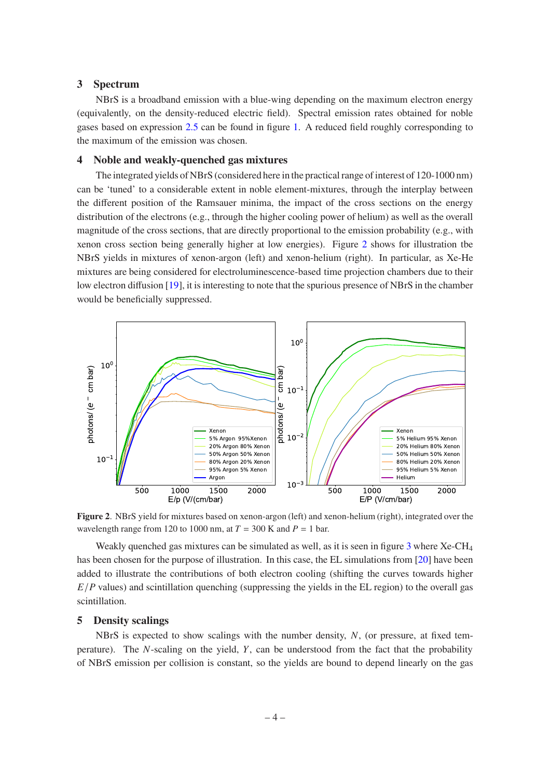#### **3 Spectrum**

NBrS is a broadband emission with a blue-wing depending on the maximum electron energy (equivalently, on the density-reduced electric field). Spectral emission rates obtained for noble gases based on expression [2.5](#page-3-2) can be found in figure [1.](#page-3-3) A reduced field roughly corresponding to the maximum of the emission was chosen.

#### <span id="page-4-0"></span>**4 Noble and weakly-quenched gas mixtures**

The integrated yields of NBrS (considered here in the practical range of interest of 120-1000 nm) can be 'tuned' to a considerable extent in noble element-mixtures, through the interplay between the different position of the Ramsauer minima, the impact of the cross sections on the energy distribution of the electrons (e.g., through the higher cooling power of helium) as well as the overall magnitude of the cross sections, that are directly proportional to the emission probability (e.g., with xenon cross section being generally higher at low energies). Figure [2](#page-4-2) shows for illustration tbe NBrS yields in mixtures of xenon-argon (left) and xenon-helium (right). In particular, as Xe-He mixtures are being considered for electroluminescence-based time projection chambers due to their low electron diffusion [\[19](#page-6-17)], it is interesting to note that the spurious presence of NBrS in the chamber would be beneficially suppressed.



<span id="page-4-2"></span>**Figure 2**. NBrS yield for mixtures based on xenon-argon (left) and xenon-helium (right), integrated over the wavelength range from 120 to 1000 nm, at  $T = 300$  K and  $P = 1$  bar.

Weakly quenched gas mixtures can be simulated as well, as it is seen in figure [3](#page-5-1) where Xe-CH<sub>4</sub> has been chosen for the purpose of illustration. In this case, the EL simulations from [\[20](#page-6-18)] have been added to illustrate the contributions of both electron cooling (shifting the curves towards higher  $E/P$  values) and scintillation quenching (suppressing the yields in the EL region) to the overall gas scintillation.

# <span id="page-4-1"></span>**5 Density scalings**

NBrS is expected to show scalings with the number density,  $N$ , (or pressure, at fixed temperature). The  $N$ -scaling on the yield,  $Y$ , can be understood from the fact that the probability of NBrS emission per collision is constant, so the yields are bound to depend linearly on the gas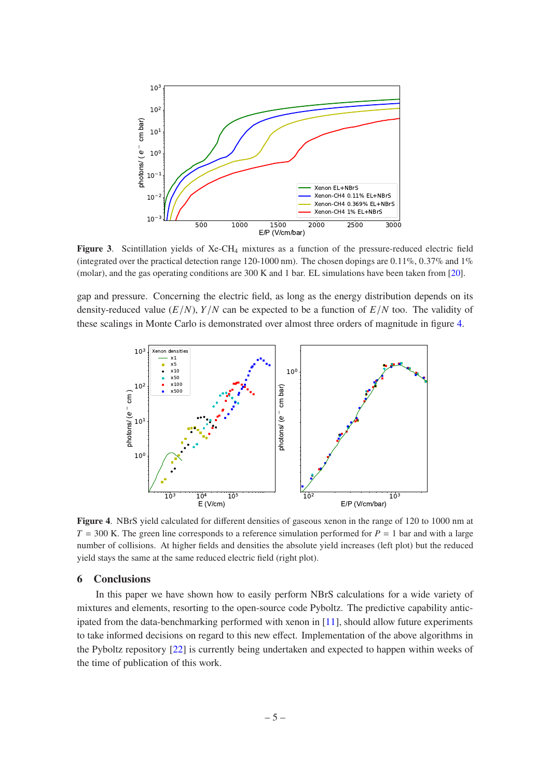

<span id="page-5-1"></span>**Figure 3**. Scintillation yields of Xe-CH<sup>4</sup> mixtures as a function of the pressure-reduced electric field (integrated over the practical detection range 120-1000 nm). The chosen dopings are  $0.11\%$ ,  $0.37\%$  and  $1\%$ (molar), and the gas operating conditions are 300 K and 1 bar. EL simulations have been taken from [\[20\]](#page-6-18).

gap and pressure. Concerning the electric field, as long as the energy distribution depends on its density-reduced value  $(E/N)$ ,  $Y/N$  can be expected to be a function of  $E/N$  too. The validity of these scalings in Monte Carlo is demonstrated over almost three orders of magnitude in figure [4.](#page-5-2)



<span id="page-5-2"></span>**Figure 4**. NBrS yield calculated for different densities of gaseous xenon in the range of 120 to 1000 nm at  $T = 300$  K. The green line corresponds to a reference simulation performed for  $P = 1$  bar and with a large number of collisions. At higher fields and densities the absolute yield increases (left plot) but the reduced yield stays the same at the same reduced electric field (right plot).

## <span id="page-5-0"></span>**6 Conclusions**

In this paper we have shown how to easily perform NBrS calculations for a wide variety of mixtures and elements, resorting to the open-source code Pyboltz. The predictive capability anticipated from the data-benchmarking performed with xenon in [\[11](#page-6-10)], should allow future experiments to take informed decisions on regard to this new effect. Implementation of the above algorithms in the Pyboltz repository [\[22](#page-7-0)] is currently being undertaken and expected to happen within weeks of the time of publication of this work.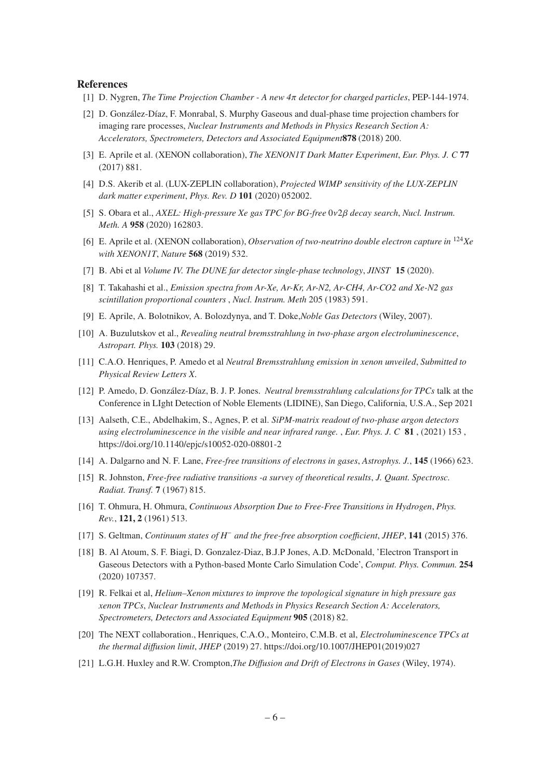#### **References**

- <span id="page-6-0"></span>[1] D. Nygren, *The Time Projection Chamber - A new 4*𝜋 *detector for charged particles*, PEP-144-1974.
- <span id="page-6-1"></span>[2] D. González-Díaz, F. Monrabal, S. Murphy Gaseous and dual-phase time projection chambers for imaging rare processes, *Nuclear Instruments and Methods in Physics Research Section A: Accelerators, Spectrometers, Detectors and Associated Equipment***878** (2018) 200.
- <span id="page-6-2"></span>[3] E. Aprile et al. (XENON collaboration), *The XENON1T Dark Matter Experiment*, *Eur. Phys. J. C* **77** (2017) 881.
- <span id="page-6-3"></span>[4] D.S. Akerib et al. (LUX-ZEPLIN collaboration), *Projected WIMP sensitivity of the LUX-ZEPLIN dark matter experiment*, *Phys. Rev. D* **101** (2020) 052002.
- <span id="page-6-4"></span>[5] S. Obara et al., *AXEL: High-pressure Xe gas TPC for BG-free*  $0\nu2\beta$  *decay search*, *Nucl. Instrum. Meth. A* **958** (2020) 162803.
- <span id="page-6-5"></span>[6] E. Aprile et al. (XENON collaboration), *Observation of two-neutrino double electron capture in* <sup>124</sup>*Xe with XENON1T*, *Nature* **568** (2019) 532.
- <span id="page-6-6"></span>[7] B. Abi et al *Volume IV. The DUNE far detector single-phase technology*, *JINST* **15** (2020).
- <span id="page-6-7"></span>[8] T. Takahashi et al., *Emission spectra from Ar-Xe, Ar-Kr, Ar-N2, Ar-CH4, Ar-CO2 and Xe-N2 gas scintillation proportional counters* , *Nucl. Instrum. Meth* 205 (1983) 591.
- <span id="page-6-8"></span>[9] E. Aprile, A. Bolotnikov, A. Bolozdynya, and T. Doke,*Noble Gas Detectors* (Wiley, 2007).
- <span id="page-6-9"></span>[10] A. Buzulutskov et al., *Revealing neutral bremsstrahlung in two-phase argon electroluminescence*, *Astropart. Phys.* **103** (2018) 29.
- <span id="page-6-10"></span>[11] C.A.O. Henriques, P. Amedo et al *Neutral Bremsstrahlung emission in xenon unveiled*, *Submitted to Physical Review Letters X*.
- <span id="page-6-11"></span>[12] P. Amedo, D. González-Díaz, B. J. P. Jones. *Neutral bremsstrahlung calculations for TPCs* talk at the Conference in LIght Detection of Noble Elements (LIDINE), San Diego, California, U.S.A., Sep 2021
- <span id="page-6-12"></span>[13] Aalseth, C.E., Abdelhakim, S., Agnes, P. et al. *SiPM-matrix readout of two-phase argon detectors using electroluminescence in the visible and near infrared range.* , *Eur. Phys. J. C* **81** , (2021) 153 , https://doi.org/10.1140/epjc/s10052-020-08801-2
- <span id="page-6-13"></span>[14] A. Dalgarno and N. F. Lane, *Free-free transitions of electrons in gases*, *Astrophys. J.*, **145** (1966) 623.
- [15] R. Johnston, *Free-free radiative transitions -a survey of theoretical results*, *J. Quant. Spectrosc. Radiat. Transf.* **7** (1967) 815.
- <span id="page-6-15"></span>[16] T. Ohmura, H. Ohmura, *Continuous Absorption Due to Free-Free Transitions in Hydrogen*, *Phys. Rev.*, **121, 2** (1961) 513.
- <span id="page-6-14"></span>[17] S. Geltman, *Continuum states of H*<sup>−</sup> *and the free-free absorption coefficient*, *JHEP*, **141** (2015) 376.
- <span id="page-6-16"></span>[18] B. Al Atoum, S. F. Biagi, D. Gonzalez-Diaz, B.J.P Jones, A.D. McDonald, 'Electron Transport in Gaseous Detectors with a Python-based Monte Carlo Simulation Code', *Comput. Phys. Commun.* **254** (2020) 107357.
- <span id="page-6-17"></span>[19] R. Felkai et al, *Helium–Xenon mixtures to improve the topological signature in high pressure gas xenon TPCs*, *Nuclear Instruments and Methods in Physics Research Section A: Accelerators, Spectrometers, Detectors and Associated Equipment* **905** (2018) 82.
- <span id="page-6-18"></span>[20] The NEXT collaboration., Henriques, C.A.O., Monteiro, C.M.B. et al, *Electroluminescence TPCs at the thermal diffusion limit*, *JHEP* (2019) 27. https://doi.org/10.1007/JHEP01(2019)027
- [21] L.G.H. Huxley and R.W. Crompton,*The Diffusion and Drift of Electrons in Gases* (Wiley, 1974).